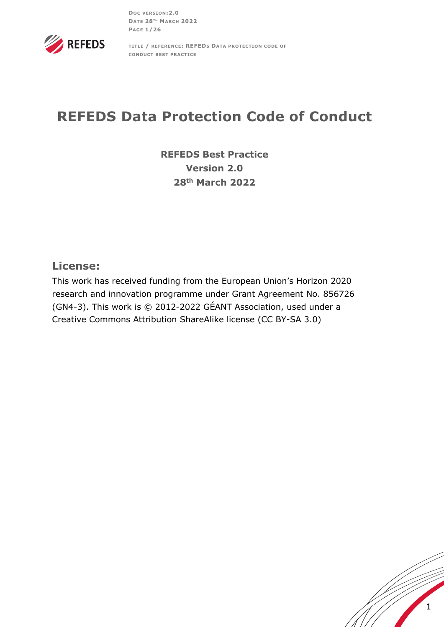**DOC VERSION:2.0 DATE 28TH MARCH 2022 PAGE 1/26**



**TITLE / REFERENCE: REFEDS DATA PROTECTION CODE OF CONDUCT BEST PRACTICE** 

# **REFEDS Data Protection Code of Conduct**

**REFEDS Best Practice Version 2.0 28th March 2022**

# **License:**

This work has received funding from the European Union's Horizon 2020 research and innovation programme under Grant Agreement No. 856726 (GN4-3). This work is © 2012-2022 GÉANT Association, used under a Creative Commons Attribution ShareAlike license (CC BY-SA 3.0)

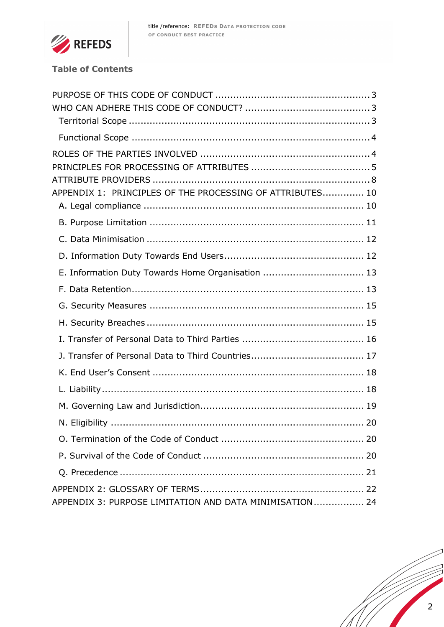

# **Table of Contents**

| APPENDIX 1: PRINCIPLES OF THE PROCESSING OF ATTRIBUTES 10 |      |
|-----------------------------------------------------------|------|
|                                                           |      |
|                                                           |      |
|                                                           |      |
|                                                           |      |
| E. Information Duty Towards Home Organisation  13         |      |
|                                                           |      |
|                                                           |      |
|                                                           |      |
|                                                           |      |
|                                                           |      |
|                                                           |      |
|                                                           |      |
|                                                           |      |
|                                                           | . 20 |
|                                                           |      |
|                                                           |      |
|                                                           |      |
|                                                           |      |
| APPENDIX 3: PURPOSE LIMITATION AND DATA MINIMISATION 24   |      |

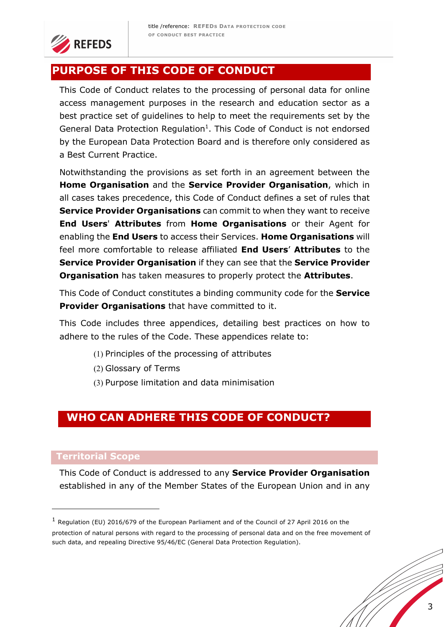

# **PURPOSE OF THIS CODE OF CONDUCT**

This Code of Conduct relates to the processing of personal data for online access management purposes in the research and education sector as a best practice set of guidelines to help to meet the requirements set by the General Data Protection Regulation<sup>1</sup>. This Code of Conduct is not endorsed by the European Data Protection Board and is therefore only considered as a Best Current Practice.

Notwithstanding the provisions as set forth in an agreement between the **Home Organisation** and the **Service Provider Organisation**, which in all cases takes precedence, this Code of Conduct defines a set of rules that **Service Provider Organisations** can commit to when they want to receive **End Users**' **Attributes** from **Home Organisations** or their Agent for enabling the **End Users** to access their Services. **Home Organisations** will feel more comfortable to release affiliated **End Users**' **Attributes** to the **Service Provider Organisation** if they can see that the **Service Provider Organisation** has taken measures to properly protect the **Attributes**.

This Code of Conduct constitutes a binding community code for the **Service Provider Organisations** that have committed to it.

This Code includes three appendices, detailing best practices on how to adhere to the rules of the Code. These appendices relate to:

- (1) Principles of the processing of attributes
- (2) Glossary of Terms
- (3) Purpose limitation and data minimisation

# **WHO CAN ADHERE THIS CODE OF CONDUCT?**

#### **Territorial Scope**

This Code of Conduct is addressed to any **Service Provider Organisation**  established in any of the Member States of the European Union and in any

 $1$  Regulation (EU) 2016/679 of the European Parliament and of the Council of 27 April 2016 on the protection of natural persons with regard to the processing of personal data and on the free movement of such data, and repealing Directive 95/46/EC (General Data Protection Regulation).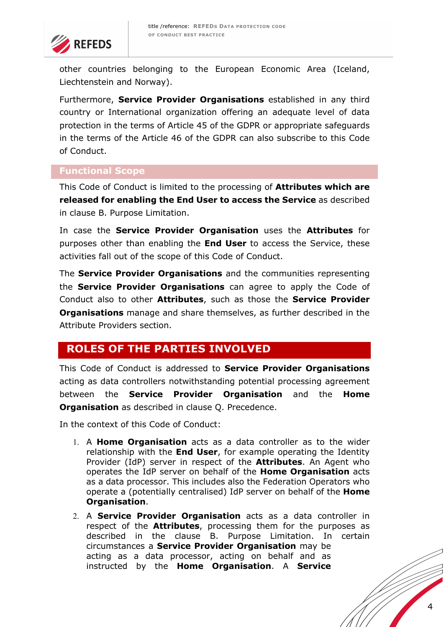

other countries belonging to the European Economic Area (Iceland, Liechtenstein and Norway).

Furthermore, **Service Provider Organisations** established in any third country or International organization offering an adequate level of data protection in the terms of Article 45 of the GDPR or appropriate safeguards in the terms of the Article 46 of the GDPR can also subscribe to this Code of Conduct.

## **Functional Scope**

This Code of Conduct is limited to the processing of **Attributes which are released for enabling the End User to access the Service** as described in clause B. Purpose Limitation.

In case the **Service Provider Organisation** uses the **Attributes** for purposes other than enabling the **End User** to access the Service, these activities fall out of the scope of this Code of Conduct.

The **Service Provider Organisations** and the communities representing the **Service Provider Organisations** can agree to apply the Code of Conduct also to other **Attributes**, such as those the **Service Provider Organisations** manage and share themselves, as further described in the Attribute Providers section.

# **ROLES OF THE PARTIES INVOLVED**

This Code of Conduct is addressed to **Service Provider Organisations** acting as data controllers notwithstanding potential processing agreement between the **Service Provider Organisation** and the **Home Organisation** as described in clause Q. Precedence.

In the context of this Code of Conduct:

- 1. A **Home Organisation** acts as a data controller as to the wider relationship with the **End User**, for example operating the Identity Provider (IdP) server in respect of the **Attributes**. An Agent who operates the IdP server on behalf of the **Home Organisation** acts as a data processor. This includes also the Federation Operators who operate a (potentially centralised) IdP server on behalf of the **Home Organisation**.
- 2. A **Service Provider Organisation** acts as a data controller in respect of the **Attributes**, processing them for the purposes as described in the clause B. Purpose Limitation. In certain circumstances a **Service Provider Organisation** may be acting as a data processor, acting on behalf and as instructed by the **Home Organisation**. A **Service**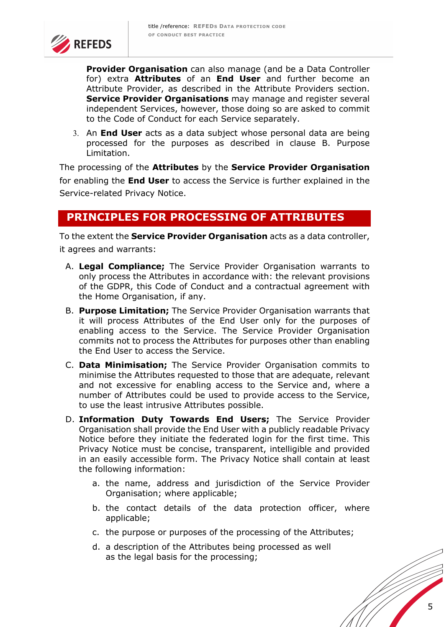

**Provider Organisation** can also manage (and be a Data Controller for) extra **Attributes** of an **End User** and further become an Attribute Provider, as described in the Attribute Providers section. **Service Provider Organisations** may manage and register several independent Services, however, those doing so are asked to commit to the Code of Conduct for each Service separately.

3. An **End User** acts as a data subject whose personal data are being processed for the purposes as described in clause B. Purpose Limitation.

The processing of the **Attributes** by the **Service Provider Organisation**  for enabling the **End User** to access the Service is further explained in the Service-related Privacy Notice.

# **PRINCIPLES FOR PROCESSING OF ATTRIBUTES**

To the extent the **Service Provider Organisation** acts as a data controller, it agrees and warrants:

- A. **Legal Compliance;** The Service Provider Organisation warrants to only process the Attributes in accordance with: the relevant provisions of the GDPR, this Code of Conduct and a contractual agreement with the Home Organisation, if any.
- B. **Purpose Limitation;** The Service Provider Organisation warrants that it will process Attributes of the End User only for the purposes of enabling access to the Service. The Service Provider Organisation commits not to process the Attributes for purposes other than enabling the End User to access the Service.
- C. **Data Minimisation;** The Service Provider Organisation commits to minimise the Attributes requested to those that are adequate, relevant and not excessive for enabling access to the Service and, where a number of Attributes could be used to provide access to the Service, to use the least intrusive Attributes possible.
- D. **Information Duty Towards End Users;** The Service Provider Organisation shall provide the End User with a publicly readable Privacy Notice before they initiate the federated login for the first time. This Privacy Notice must be concise, transparent, intelligible and provided in an easily accessible form. The Privacy Notice shall contain at least the following information:
	- a. the name, address and jurisdiction of the Service Provider Organisation; where applicable;
	- b. the contact details of the data protection officer, where applicable;
	- c. the purpose or purposes of the processing of the Attributes;
	- d. a description of the Attributes being processed as well as the legal basis for the processing;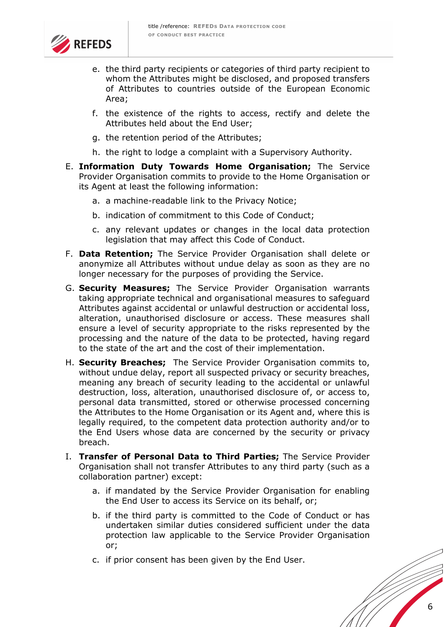

- e. the third party recipients or categories of third party recipient to whom the Attributes might be disclosed, and proposed transfers of Attributes to countries outside of the European Economic Area;
- f. the existence of the rights to access, rectify and delete the Attributes held about the End User;
- g. the retention period of the Attributes;
- h. the right to lodge a complaint with a Supervisory Authority.
- E. **Information Duty Towards Home Organisation;** The Service Provider Organisation commits to provide to the Home Organisation or its Agent at least the following information:
	- a. a machine-readable link to the Privacy Notice;
	- b. indication of commitment to this Code of Conduct;
	- c. any relevant updates or changes in the local data protection legislation that may affect this Code of Conduct.
- F. **Data Retention;** The Service Provider Organisation shall delete or anonymize all Attributes without undue delay as soon as they are no longer necessary for the purposes of providing the Service.
- G. **Security Measures;** The Service Provider Organisation warrants taking appropriate technical and organisational measures to safeguard Attributes against accidental or unlawful destruction or accidental loss, alteration, unauthorised disclosure or access. These measures shall ensure a level of security appropriate to the risks represented by the processing and the nature of the data to be protected, having regard to the state of the art and the cost of their implementation.
- H. **Security Breaches;** The Service Provider Organisation commits to, without undue delay, report all suspected privacy or security breaches, meaning any breach of security leading to the accidental or unlawful destruction, loss, alteration, unauthorised disclosure of, or access to, personal data transmitted, stored or otherwise processed concerning the Attributes to the Home Organisation or its Agent and, where this is legally required, to the competent data protection authority and/or to the End Users whose data are concerned by the security or privacy breach.
- I. **Transfer of Personal Data to Third Parties;** The Service Provider Organisation shall not transfer Attributes to any third party (such as a collaboration partner) except:
	- a. if mandated by the Service Provider Organisation for enabling the End User to access its Service on its behalf, or;
	- b. if the third party is committed to the Code of Conduct or has undertaken similar duties considered sufficient under the data protection law applicable to the Service Provider Organisation or;
	- c. if prior consent has been given by the End User.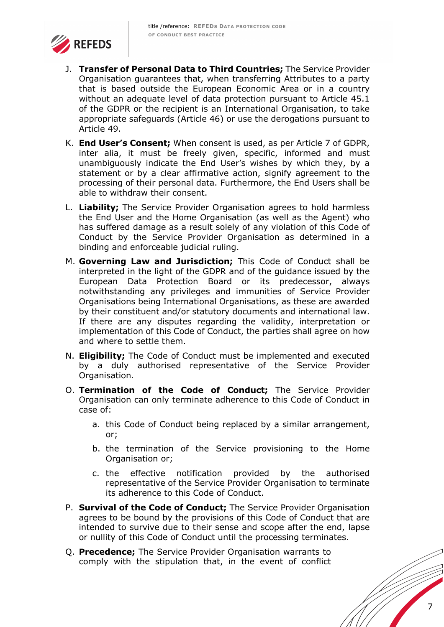

- J. **Transfer of Personal Data to Third Countries;** The Service Provider Organisation guarantees that, when transferring Attributes to a party that is based outside the European Economic Area or in a country without an adequate level of data protection pursuant to Article 45.1 of the GDPR or the recipient is an International Organisation, to take appropriate safeguards (Article 46) or use the derogations pursuant to Article 49.
- K. **End User's Consent;** When consent is used, as per Article 7 of GDPR, inter alia, it must be freely given, specific, informed and must unambiguously indicate the End User's wishes by which they, by a statement or by a clear affirmative action, signify agreement to the processing of their personal data. Furthermore, the End Users shall be able to withdraw their consent.
- L. **Liability;** The Service Provider Organisation agrees to hold harmless the End User and the Home Organisation (as well as the Agent) who has suffered damage as a result solely of any violation of this Code of Conduct by the Service Provider Organisation as determined in a binding and enforceable judicial ruling.
- M. **Governing Law and Jurisdiction;** This Code of Conduct shall be interpreted in the light of the GDPR and of the guidance issued by the European Data Protection Board or its predecessor, always notwithstanding any privileges and immunities of Service Provider Organisations being International Organisations, as these are awarded by their constituent and/or statutory documents and international law. If there are any disputes regarding the validity, interpretation or implementation of this Code of Conduct, the parties shall agree on how and where to settle them.
- N. **Eligibility;** The Code of Conduct must be implemented and executed by a duly authorised representative of the Service Provider Organisation.
- O. **Termination of the Code of Conduct;** The Service Provider Organisation can only terminate adherence to this Code of Conduct in case of:
	- a. this Code of Conduct being replaced by a similar arrangement, or;
	- b. the termination of the Service provisioning to the Home Organisation or;
	- c. the effective notification provided by the authorised representative of the Service Provider Organisation to terminate its adherence to this Code of Conduct.
- P. **Survival of the Code of Conduct;** The Service Provider Organisation agrees to be bound by the provisions of this Code of Conduct that are intended to survive due to their sense and scope after the end, lapse or nullity of this Code of Conduct until the processing terminates.
- Q. **Precedence;** The Service Provider Organisation warrants to comply with the stipulation that, in the event of conflict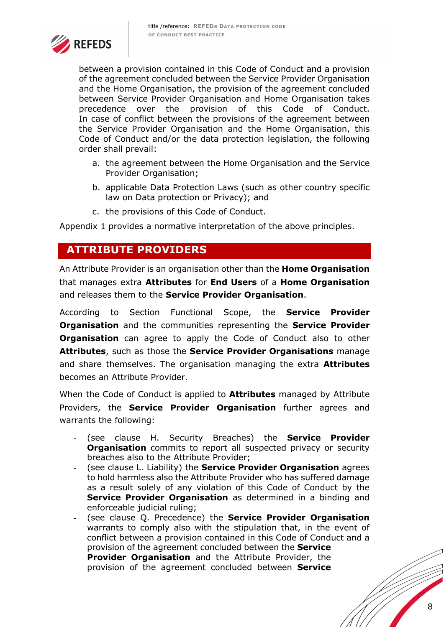

between a provision contained in this Code of Conduct and a provision of the agreement concluded between the Service Provider Organisation and the Home Organisation, the provision of the agreement concluded between Service Provider Organisation and Home Organisation takes precedence over the provision of this Code of Conduct. In case of conflict between the provisions of the agreement between the Service Provider Organisation and the Home Organisation, this Code of Conduct and/or the data protection legislation, the following order shall prevail:

- a. the agreement between the Home Organisation and the Service Provider Organisation;
- b. applicable Data Protection Laws (such as other country specific law on Data protection or Privacy); and
- c. the provisions of this Code of Conduct.

Appendix 1 provides a normative interpretation of the above principles.

# **ATTRIBUTE PROVIDERS**

An Attribute Provider is an organisation other than the **Home Organisation** that manages extra **Attributes** for **End Users** of a **Home Organisation** and releases them to the **Service Provider Organisation**.

According to Section Functional Scope, the **Service Provider Organisation** and the communities representing the **Service Provider Organisation** can agree to apply the Code of Conduct also to other **Attributes**, such as those the **Service Provider Organisations** manage and share themselves. The organisation managing the extra **Attributes** becomes an Attribute Provider.

When the Code of Conduct is applied to **Attributes** managed by Attribute Providers, the **Service Provider Organisation** further agrees and warrants the following:

- (see clause H. Security Breaches) the **Service Provider Organisation** commits to report all suspected privacy or security breaches also to the Attribute Provider;
- (see clause L. Liability) the **Service Provider Organisation** agrees to hold harmless also the Attribute Provider who has suffered damage as a result solely of any violation of this Code of Conduct by the **Service Provider Organisation** as determined in a binding and enforceable judicial ruling;
- (see clause Q. Precedence) the **Service Provider Organisation** warrants to comply also with the stipulation that, in the event of conflict between a provision contained in this Code of Conduct and a provision of the agreement concluded between the **Service Provider Organisation** and the Attribute Provider, the provision of the agreement concluded between **Service**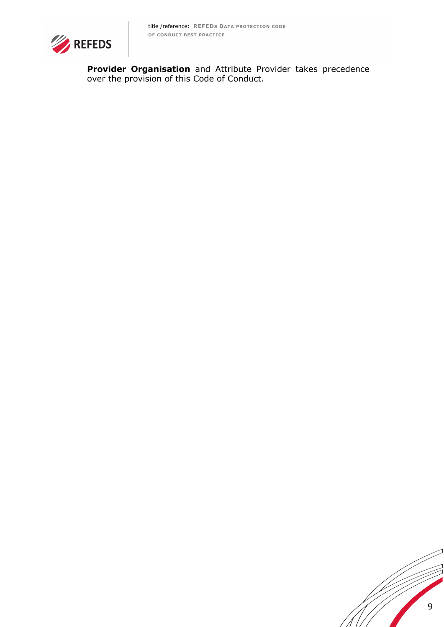

**Provider Organisation** and Attribute Provider takes precedence over the provision of this Code of Conduct.

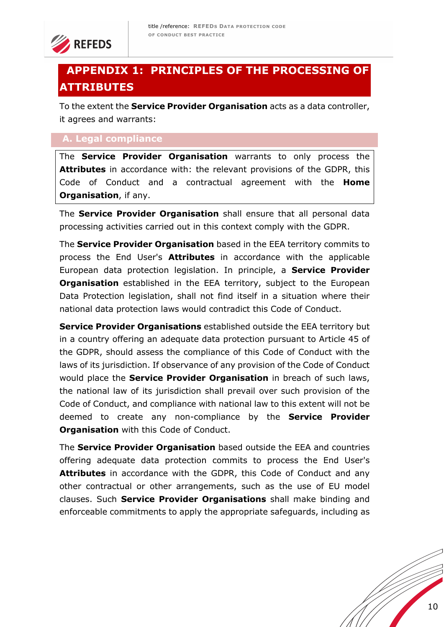

# **APPENDIX 1: PRINCIPLES OF THE PROCESSING OF ATTRIBUTES**

To the extent the **Service Provider Organisation** acts as a data controller, it agrees and warrants:

## **A. Legal compliance**

The **Service Provider Organisation** warrants to only process the **Attributes** in accordance with: the relevant provisions of the GDPR, this Code of Conduct and a contractual agreement with the **Home Organisation**, if any.

The **Service Provider Organisation** shall ensure that all personal data processing activities carried out in this context comply with the GDPR.

The **Service Provider Organisation** based in the EEA territory commits to process the End User's **Attributes** in accordance with the applicable European data protection legislation. In principle, a **Service Provider Organisation** established in the EEA territory, subject to the European Data Protection legislation, shall not find itself in a situation where their national data protection laws would contradict this Code of Conduct.

**Service Provider Organisations** established outside the EEA territory but in a country offering an adequate data protection pursuant to Article 45 of the GDPR, should assess the compliance of this Code of Conduct with the laws of its jurisdiction. If observance of any provision of the Code of Conduct would place the **Service Provider Organisation** in breach of such laws, the national law of its jurisdiction shall prevail over such provision of the Code of Conduct, and compliance with national law to this extent will not be deemed to create any non-compliance by the **Service Provider Organisation** with this Code of Conduct.

The **Service Provider Organisation** based outside the EEA and countries offering adequate data protection commits to process the End User's **Attributes** in accordance with the GDPR, this Code of Conduct and any other contractual or other arrangements, such as the use of EU model clauses. Such **Service Provider Organisations** shall make binding and enforceable commitments to apply the appropriate safeguards, including as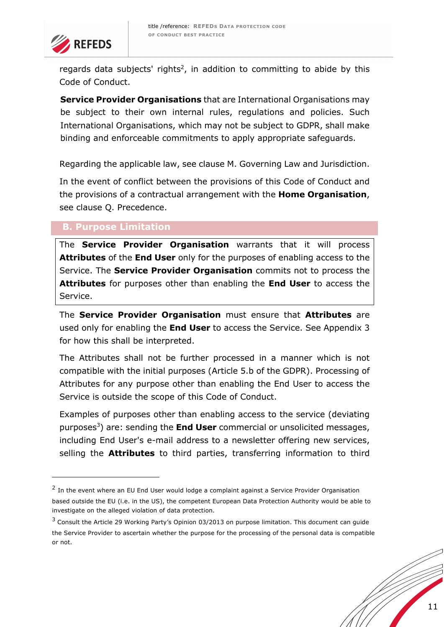

regards data subjects' rights<sup>2</sup>, in addition to committing to abide by this Code of Conduct.

**Service Provider Organisations** that are International Organisations may be subject to their own internal rules, regulations and policies. Such International Organisations, which may not be subject to GDPR, shall make binding and enforceable commitments to apply appropriate safeguards.

Regarding the applicable law, see clause M. Governing Law and Jurisdiction.

In the event of conflict between the provisions of this Code of Conduct and the provisions of a contractual arrangement with the **Home Organisation**, see clause Q. Precedence.

# **B. Purpose Limitation**

The **Service Provider Organisation** warrants that it will process **Attributes** of the **End User** only for the purposes of enabling access to the Service. The **Service Provider Organisation** commits not to process the **Attributes** for purposes other than enabling the **End User** to access the Service.

The **Service Provider Organisation** must ensure that **Attributes** are used only for enabling the **End User** to access the Service. See Appendix 3 for how this shall be interpreted.

The Attributes shall not be further processed in a manner which is not compatible with the initial purposes (Article 5.b of the GDPR). Processing of Attributes for any purpose other than enabling the End User to access the Service is outside the scope of this Code of Conduct.

Examples of purposes other than enabling access to the service (deviating purposes3) are: sending the **End User** commercial or unsolicited messages, including End User's e-mail address to a newsletter offering new services, selling the **Attributes** to third parties, transferring information to third

<sup>&</sup>lt;sup>2</sup> In the event where an EU End User would lodge a complaint against a Service Provider Organisation based outside the EU (i.e. in the US), the competent European Data Protection Authority would be able to investigate on the alleged violation of data protection.

<sup>&</sup>lt;sup>3</sup> Consult the Article 29 Working Party's Opinion 03/2013 on purpose limitation. This document can guide the Service Provider to ascertain whether the purpose for the processing of the personal data is compatible or not.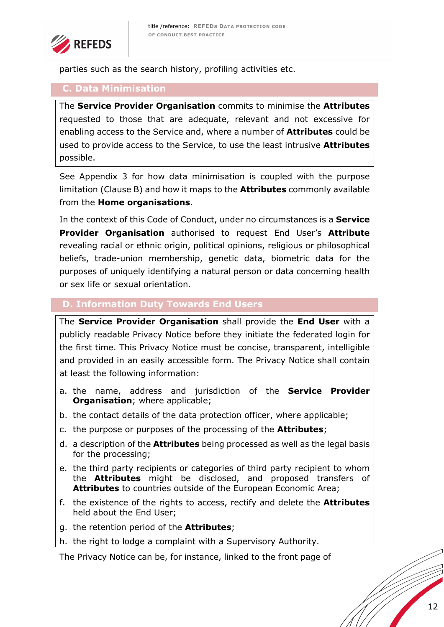

parties such as the search history, profiling activities etc.

#### **C. Data Minimisation**

The **Service Provider Organisation** commits to minimise the **Attributes** requested to those that are adequate, relevant and not excessive for enabling access to the Service and, where a number of **Attributes** could be used to provide access to the Service, to use the least intrusive **Attributes** possible.

See Appendix 3 for how data minimisation is coupled with the purpose limitation (Clause B) and how it maps to the **Attributes** commonly available from the **Home organisations**.

In the context of this Code of Conduct, under no circumstances is a **Service Provider Organisation** authorised to request End User's **Attribute**  revealing racial or ethnic origin, political opinions, religious or philosophical beliefs, trade-union membership, genetic data, biometric data for the purposes of uniquely identifying a natural person or data concerning health or sex life or sexual orientation.

## **D. Information Duty Towards End Users**

The **Service Provider Organisation** shall provide the **End User** with a publicly readable Privacy Notice before they initiate the federated login for the first time. This Privacy Notice must be concise, transparent, intelligible and provided in an easily accessible form. The Privacy Notice shall contain at least the following information:

- a. the name, address and jurisdiction of the **Service Provider Organisation**; where applicable;
- b. the contact details of the data protection officer, where applicable;
- c. the purpose or purposes of the processing of the **Attributes**;
- d. a description of the **Attributes** being processed as well as the legal basis for the processing;
- e. the third party recipients or categories of third party recipient to whom the **Attributes** might be disclosed, and proposed transfers of **Attributes** to countries outside of the European Economic Area;
- f. the existence of the rights to access, rectify and delete the **Attributes** held about the End User;
- g. the retention period of the **Attributes**;

h. the right to lodge a complaint with a Supervisory Authority.

The Privacy Notice can be, for instance, linked to the front page of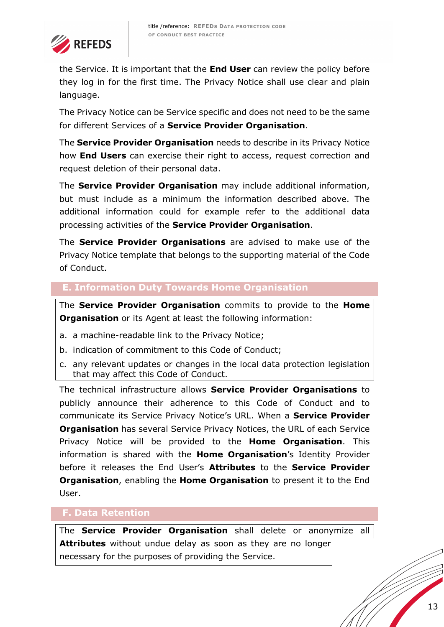

the Service. It is important that the **End User** can review the policy before they log in for the first time. The Privacy Notice shall use clear and plain language.

The Privacy Notice can be Service specific and does not need to be the same for different Services of a **Service Provider Organisation**.

The **Service Provider Organisation** needs to describe in its Privacy Notice how **End Users** can exercise their right to access, request correction and request deletion of their personal data.

The **Service Provider Organisation** may include additional information, but must include as a minimum the information described above. The additional information could for example refer to the additional data processing activities of the **Service Provider Organisation**.

The **Service Provider Organisations** are advised to make use of the Privacy Notice template that belongs to the supporting material of the Code of Conduct.

# **E. Information Duty Towards Home Organisation**

The **Service Provider Organisation** commits to provide to the **Home Organisation** or its Agent at least the following information:

- a. a machine-readable link to the Privacy Notice;
- b. indication of commitment to this Code of Conduct;
- c. any relevant updates or changes in the local data protection legislation that may affect this Code of Conduct.

The technical infrastructure allows **Service Provider Organisations** to publicly announce their adherence to this Code of Conduct and to communicate its Service Privacy Notice's URL. When a **Service Provider Organisation** has several Service Privacy Notices, the URL of each Service Privacy Notice will be provided to the **Home Organisation**. This information is shared with the **Home Organisation**'s Identity Provider before it releases the End User's **Attributes** to the **Service Provider Organisation**, enabling the **Home Organisation** to present it to the End User.

#### **F. Data Retention**

The **Service Provider Organisation** shall delete or anonymize all **Attributes** without undue delay as soon as they are no longer necessary for the purposes of providing the Service.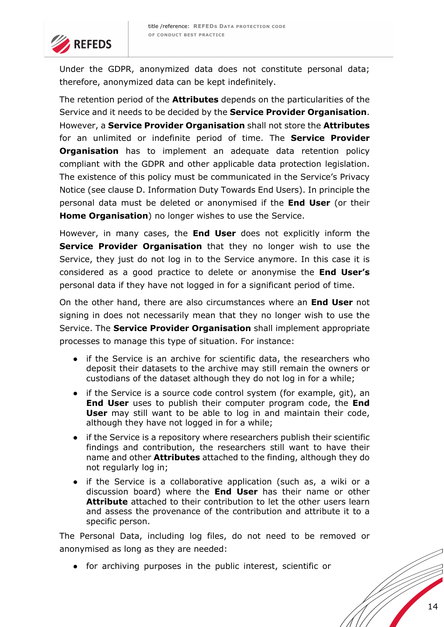

Under the GDPR, anonymized data does not constitute personal data; therefore, anonymized data can be kept indefinitely.

The retention period of the **Attributes** depends on the particularities of the Service and it needs to be decided by the **Service Provider Organisation**. However, a **Service Provider Organisation** shall not store the **Attributes**  for an unlimited or indefinite period of time. The **Service Provider Organisation** has to implement an adequate data retention policy compliant with the GDPR and other applicable data protection legislation. The existence of this policy must be communicated in the Service's Privacy Notice (see clause D. Information Duty Towards End Users). In principle the personal data must be deleted or anonymised if the **End User** (or their **Home Organisation**) no longer wishes to use the Service.

However, in many cases, the **End User** does not explicitly inform the **Service Provider Organisation** that they no longer wish to use the Service, they just do not log in to the Service anymore. In this case it is considered as a good practice to delete or anonymise the **End User's**  personal data if they have not logged in for a significant period of time.

On the other hand, there are also circumstances where an **End User** not signing in does not necessarily mean that they no longer wish to use the Service. The **Service Provider Organisation** shall implement appropriate processes to manage this type of situation. For instance:

- if the Service is an archive for scientific data, the researchers who deposit their datasets to the archive may still remain the owners or custodians of the dataset although they do not log in for a while;
- if the Service is a source code control system (for example, git), an **End User** uses to publish their computer program code, the **End User** may still want to be able to log in and maintain their code, although they have not logged in for a while;
- if the Service is a repository where researchers publish their scientific findings and contribution, the researchers still want to have their name and other **Attributes** attached to the finding, although they do not regularly log in;
- if the Service is a collaborative application (such as, a wiki or a discussion board) where the **End User** has their name or other **Attribute** attached to their contribution to let the other users learn and assess the provenance of the contribution and attribute it to a specific person.

The Personal Data, including log files, do not need to be removed or anonymised as long as they are needed:

● for archiving purposes in the public interest, scientific or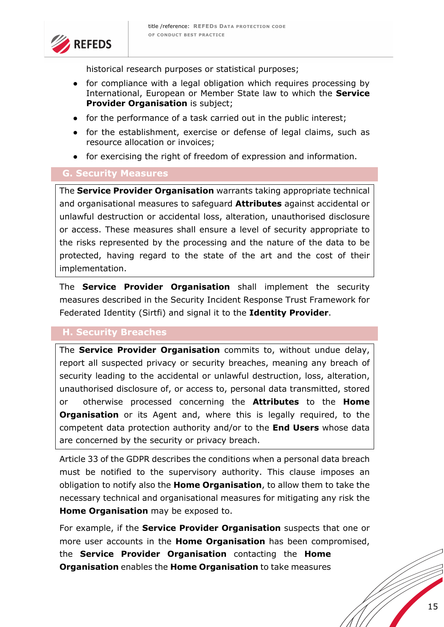

historical research purposes or statistical purposes;

- for compliance with a legal obligation which requires processing by International, European or Member State law to which the **Service Provider Organisation** is subject;
- for the performance of a task carried out in the public interest;
- for the establishment, exercise or defense of legal claims, such as resource allocation or invoices;
- for exercising the right of freedom of expression and information.

#### **G. Security Measures**

The **Service Provider Organisation** warrants taking appropriate technical and organisational measures to safeguard **Attributes** against accidental or unlawful destruction or accidental loss, alteration, unauthorised disclosure or access. These measures shall ensure a level of security appropriate to the risks represented by the processing and the nature of the data to be protected, having regard to the state of the art and the cost of their implementation.

The **Service Provider Organisation** shall implement the security measures described in the Security Incident Response Trust Framework for Federated Identity (Sirtfi) and signal it to the **Identity Provider**.

## **H. Security Breaches**

The **Service Provider Organisation** commits to, without undue delay, report all suspected privacy or security breaches, meaning any breach of security leading to the accidental or unlawful destruction, loss, alteration, unauthorised disclosure of, or access to, personal data transmitted, stored or otherwise processed concerning the **Attributes** to the **Home Organisation** or its Agent and, where this is legally required, to the competent data protection authority and/or to the **End Users** whose data are concerned by the security or privacy breach.

Article 33 of the GDPR describes the conditions when a personal data breach must be notified to the supervisory authority. This clause imposes an obligation to notify also the **Home Organisation**, to allow them to take the necessary technical and organisational measures for mitigating any risk the **Home Organisation** may be exposed to.

For example, if the **Service Provider Organisation** suspects that one or more user accounts in the **Home Organisation** has been compromised, the **Service Provider Organisation** contacting the **Home Organisation** enables the **Home Organisation** to take measures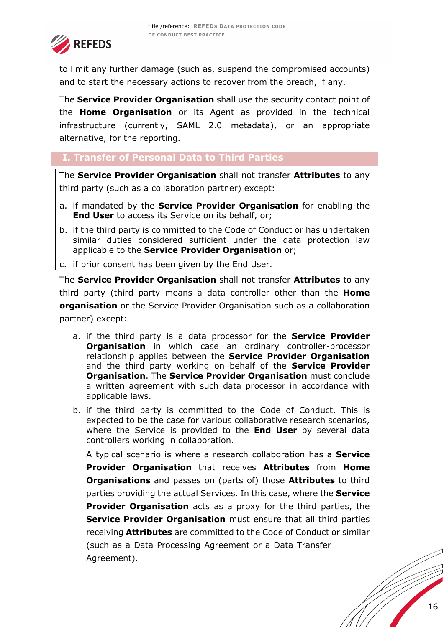

to limit any further damage (such as, suspend the compromised accounts) and to start the necessary actions to recover from the breach, if any.

The **Service Provider Organisation** shall use the security contact point of the **Home Organisation** or its Agent as provided in the technical infrastructure (currently, SAML 2.0 metadata), or an appropriate alternative, for the reporting.

# **I. Transfer of Personal Data to Third Parties**

The **Service Provider Organisation** shall not transfer **Attributes** to any third party (such as a collaboration partner) except:

- a. if mandated by the **Service Provider Organisation** for enabling the **End User** to access its Service on its behalf, or;
- b. if the third party is committed to the Code of Conduct or has undertaken similar duties considered sufficient under the data protection law applicable to the **Service Provider Organisation** or;

c. if prior consent has been given by the End User.

The **Service Provider Organisation** shall not transfer **Attributes** to any third party (third party means a data controller other than the **Home organisation** or the Service Provider Organisation such as a collaboration partner) except:

- a. if the third party is a data processor for the **Service Provider Organisation** in which case an ordinary controller-processor relationship applies between the **Service Provider Organisation**  and the third party working on behalf of the **Service Provider Organisation**. The **Service Provider Organisation** must conclude a written agreement with such data processor in accordance with applicable laws.
- b. if the third party is committed to the Code of Conduct. This is expected to be the case for various collaborative research scenarios, where the Service is provided to the **End User** by several data controllers working in collaboration.

A typical scenario is where a research collaboration has a **Service Provider Organisation** that receives **Attributes** from **Home Organisations** and passes on (parts of) those **Attributes** to third parties providing the actual Services. In this case, where the **Service Provider Organisation** acts as a proxy for the third parties, the **Service Provider Organisation** must ensure that all third parties receiving **Attributes** are committed to the Code of Conduct or similar (such as a Data Processing Agreement or a Data Transfer Agreement).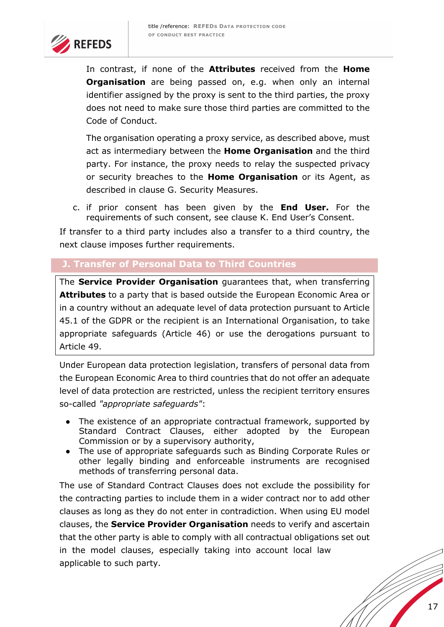

In contrast, if none of the **Attributes** received from the **Home Organisation** are being passed on, e.g. when only an internal identifier assigned by the proxy is sent to the third parties, the proxy does not need to make sure those third parties are committed to the Code of Conduct.

The organisation operating a proxy service, as described above, must act as intermediary between the **Home Organisation** and the third party. For instance, the proxy needs to relay the suspected privacy or security breaches to the **Home Organisation** or its Agent, as described in clause G. Security Measures.

c. if prior consent has been given by the **End User.** For the requirements of such consent, see clause K. End User's Consent.

If transfer to a third party includes also a transfer to a third country, the next clause imposes further requirements.

## **J. Transfer of Personal Data to Third Countries**

The **Service Provider Organisation** guarantees that, when transferring **Attributes** to a party that is based outside the European Economic Area or in a country without an adequate level of data protection pursuant to Article 45.1 of the GDPR or the recipient is an International Organisation, to take appropriate safeguards (Article 46) or use the derogations pursuant to Article 49.

Under European data protection legislation, transfers of personal data from the European Economic Area to third countries that do not offer an adequate level of data protection are restricted, unless the recipient territory ensures so-called *"appropriate safeguards"*:

- The existence of an appropriate contractual framework, supported by Standard Contract Clauses, either adopted by the European Commission or by a supervisory authority,
- The use of appropriate safeguards such as Binding Corporate Rules or other legally binding and enforceable instruments are recognised methods of transferring personal data.

The use of Standard Contract Clauses does not exclude the possibility for the contracting parties to include them in a wider contract nor to add other clauses as long as they do not enter in contradiction. When using EU model clauses, the **Service Provider Organisation** needs to verify and ascertain that the other party is able to comply with all contractual obligations set out in the model clauses, especially taking into account local law applicable to such party.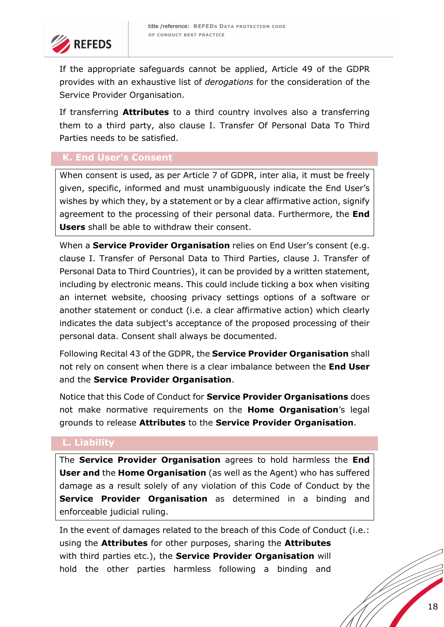

If the appropriate safeguards cannot be applied, Article 49 of the GDPR provides with an exhaustive list of *derogations* for the consideration of the Service Provider Organisation.

If transferring **Attributes** to a third country involves also a transferring them to a third party, also clause I. Transfer Of Personal Data To Third Parties needs to be satisfied.

# **K. End User's Consent**

When consent is used, as per Article 7 of GDPR, inter alia, it must be freely given, specific, informed and must unambiguously indicate the End User's wishes by which they, by a statement or by a clear affirmative action, signify agreement to the processing of their personal data. Furthermore, the **End Users** shall be able to withdraw their consent.

When a **Service Provider Organisation** relies on End User's consent (e.g. clause I. Transfer of Personal Data to Third Parties, clause J. Transfer of Personal Data to Third Countries), it can be provided by a written statement, including by electronic means. This could include ticking a box when visiting an internet website, choosing privacy settings options of a software or another statement or conduct (i.e. a clear affirmative action) which clearly indicates the data subject's acceptance of the proposed processing of their personal data. Consent shall always be documented.

Following Recital 43 of the GDPR, the **Service Provider Organisation** shall not rely on consent when there is a clear imbalance between the **End User**  and the **Service Provider Organisation**.

Notice that this Code of Conduct for **Service Provider Organisations** does not make normative requirements on the **Home Organisation**'s legal grounds to release **Attributes** to the **Service Provider Organisation**.

## **L. Liability**

The **Service Provider Organisation** agrees to hold harmless the **End User and** the **Home Organisation** (as well as the Agent) who has suffered damage as a result solely of any violation of this Code of Conduct by the **Service Provider Organisation** as determined in a binding and enforceable judicial ruling.

In the event of damages related to the breach of this Code of Conduct (i.e.: using the **Attributes** for other purposes, sharing the **Attributes**  with third parties etc.), the **Service Provider Organisation** will hold the other parties harmless following a binding and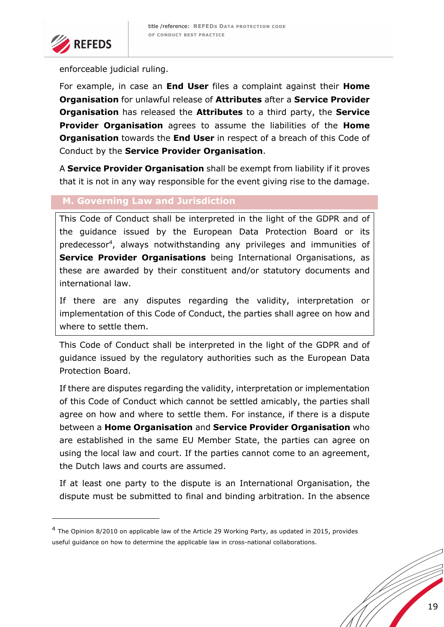

enforceable judicial ruling.

For example, in case an **End User** files a complaint against their **Home Organisation** for unlawful release of **Attributes** after a **Service Provider Organisation** has released the **Attributes** to a third party, the **Service Provider Organisation** agrees to assume the liabilities of the **Home Organisation** towards the **End User** in respect of a breach of this Code of Conduct by the **Service Provider Organisation**.

A **Service Provider Organisation** shall be exempt from liability if it proves that it is not in any way responsible for the event giving rise to the damage.

## **M. Governing Law and Jurisdiction**

This Code of Conduct shall be interpreted in the light of the GDPR and of the guidance issued by the European Data Protection Board or its predecessor4, always notwithstanding any privileges and immunities of **Service Provider Organisations** being International Organisations, as these are awarded by their constituent and/or statutory documents and international law.

If there are any disputes regarding the validity, interpretation or implementation of this Code of Conduct, the parties shall agree on how and where to settle them.

This Code of Conduct shall be interpreted in the light of the GDPR and of guidance issued by the regulatory authorities such as the European Data Protection Board.

If there are disputes regarding the validity, interpretation or implementation of this Code of Conduct which cannot be settled amicably, the parties shall agree on how and where to settle them. For instance, if there is a dispute between a **Home Organisation** and **Service Provider Organisation** who are established in the same EU Member State, the parties can agree on using the local law and court. If the parties cannot come to an agreement, the Dutch laws and courts are assumed.

If at least one party to the dispute is an International Organisation, the dispute must be submitted to final and binding arbitration. In the absence

 $4$  The Opinion 8/2010 on applicable law of the Article 29 Working Party, as updated in 2015, provides useful guidance on how to determine the applicable law in cross-national collaborations.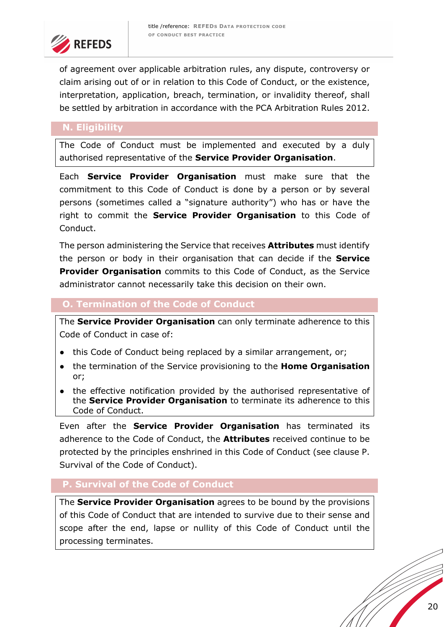

of agreement over applicable arbitration rules, any dispute, controversy or claim arising out of or in relation to this Code of Conduct, or the existence, interpretation, application, breach, termination, or invalidity thereof, shall be settled by arbitration in accordance with the PCA Arbitration Rules 2012.

# **N. Eligibility**

The Code of Conduct must be implemented and executed by a duly authorised representative of the **Service Provider Organisation**.

Each **Service Provider Organisation** must make sure that the commitment to this Code of Conduct is done by a person or by several persons (sometimes called a "signature authority") who has or have the right to commit the **Service Provider Organisation** to this Code of Conduct.

The person administering the Service that receives **Attributes** must identify the person or body in their organisation that can decide if the **Service Provider Organisation** commits to this Code of Conduct, as the Service administrator cannot necessarily take this decision on their own.

## **O. Termination of the Code of Conduct**

The **Service Provider Organisation** can only terminate adherence to this Code of Conduct in case of:

- this Code of Conduct being replaced by a similar arrangement, or;
- the termination of the Service provisioning to the **Home Organisation** or;
- the effective notification provided by the authorised representative of the **Service Provider Organisation** to terminate its adherence to this Code of Conduct.

Even after the **Service Provider Organisation** has terminated its adherence to the Code of Conduct, the **Attributes** received continue to be protected by the principles enshrined in this Code of Conduct (see clause P. Survival of the Code of Conduct).

# **P. Survival of the Code of Conduct**

The **Service Provider Organisation** agrees to be bound by the provisions of this Code of Conduct that are intended to survive due to their sense and scope after the end, lapse or nullity of this Code of Conduct until the processing terminates.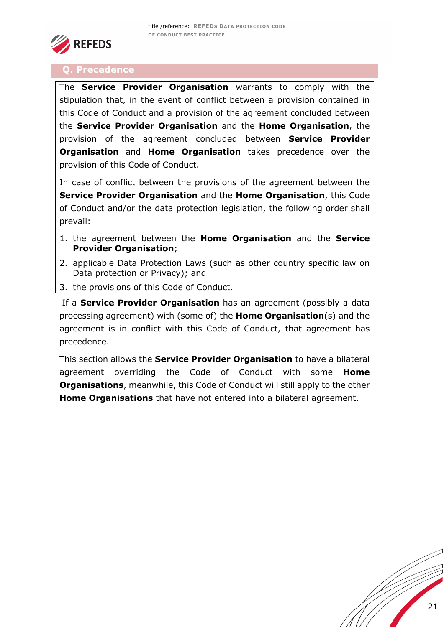

#### **Q. Precedence**

The **Service Provider Organisation** warrants to comply with the stipulation that, in the event of conflict between a provision contained in this Code of Conduct and a provision of the agreement concluded between the **Service Provider Organisation** and the **Home Organisation**, the provision of the agreement concluded between **Service Provider Organisation** and **Home Organisation** takes precedence over the provision of this Code of Conduct.

In case of conflict between the provisions of the agreement between the **Service Provider Organisation** and the **Home Organisation**, this Code of Conduct and/or the data protection legislation, the following order shall prevail:

- 1. the agreement between the **Home Organisation** and the **Service Provider Organisation**;
- 2. applicable Data Protection Laws (such as other country specific law on Data protection or Privacy); and
- 3. the provisions of this Code of Conduct.

If a **Service Provider Organisation** has an agreement (possibly a data processing agreement) with (some of) the **Home Organisation**(s) and the agreement is in conflict with this Code of Conduct, that agreement has precedence.

This section allows the **Service Provider Organisation** to have a bilateral agreement overriding the Code of Conduct with some **Home Organisations**, meanwhile, this Code of Conduct will still apply to the other **Home Organisations** that have not entered into a bilateral agreement.

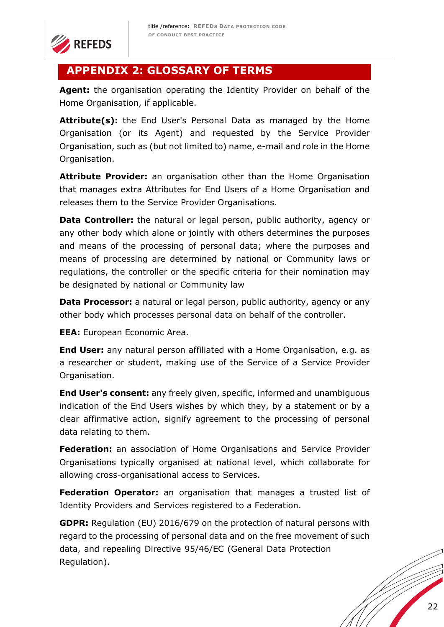

# **APPENDIX 2: GLOSSARY OF TERMS**

**Agent:** the organisation operating the Identity Provider on behalf of the Home Organisation, if applicable.

Attribute(s): the End User's Personal Data as managed by the Home Organisation (or its Agent) and requested by the Service Provider Organisation, such as (but not limited to) name, e-mail and role in the Home Organisation.

**Attribute Provider:** an organisation other than the Home Organisation that manages extra Attributes for End Users of a Home Organisation and releases them to the Service Provider Organisations.

**Data Controller:** the natural or legal person, public authority, agency or any other body which alone or jointly with others determines the purposes and means of the processing of personal data; where the purposes and means of processing are determined by national or Community laws or regulations, the controller or the specific criteria for their nomination may be designated by national or Community law

**Data Processor:** a natural or legal person, public authority, agency or any other body which processes personal data on behalf of the controller.

**EEA:** European Economic Area.

**End User:** any natural person affiliated with a Home Organisation, e.g. as a researcher or student, making use of the Service of a Service Provider Organisation.

**End User's consent:** any freely given, specific, informed and unambiguous indication of the End Users wishes by which they, by a statement or by a clear affirmative action, signify agreement to the processing of personal data relating to them.

**Federation:** an association of Home Organisations and Service Provider Organisations typically organised at national level, which collaborate for allowing cross-organisational access to Services.

**Federation Operator:** an organisation that manages a trusted list of Identity Providers and Services registered to a Federation.

**GDPR:** Regulation (EU) 2016/679 on the protection of natural persons with regard to the processing of personal data and on the free movement of such data, and repealing Directive 95/46/EC (General Data Protection Regulation).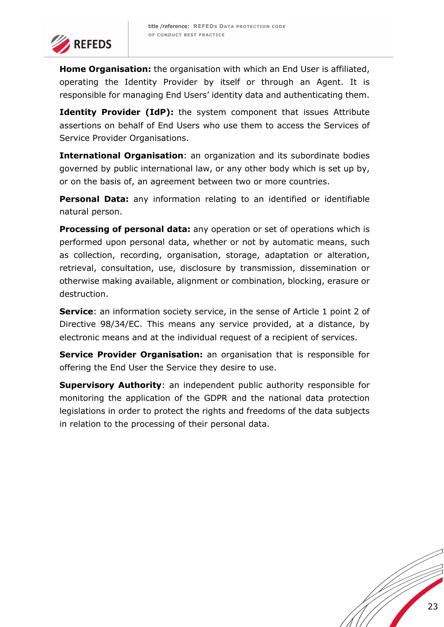

**Home Organisation:** the organisation with which an End User is affiliated, operating the Identity Provider by itself or through an Agent. It is responsible for managing End Users' identity data and authenticating them.

**Identity Provider (IdP):** the system component that issues Attribute assertions on behalf of End Users who use them to access the Services of Service Provider Organisations.

**International Organisation**: an organization and its subordinate bodies governed by public international law, or any other body which is set up by, or on the basis of, an agreement between two or more countries.

**Personal Data:** any information relating to an identified or identifiable natural person.

**Processing of personal data:** any operation or set of operations which is performed upon personal data, whether or not by automatic means, such as collection, recording, organisation, storage, adaptation or alteration, retrieval, consultation, use, disclosure by transmission, dissemination or otherwise making available, alignment or combination, blocking, erasure or destruction.

**Service**: an information society service, in the sense of Article 1 point 2 of Directive 98/34/EC. This means any service provided, at a distance, by electronic means and at the individual request of a recipient of services.

**Service Provider Organisation:** an organisation that is responsible for offering the End User the Service they desire to use.

**Supervisory Authority**: an independent public authority responsible for monitoring the application of the GDPR and the national data protection legislations in order to protect the rights and freedoms of the data subjects in relation to the processing of their personal data.

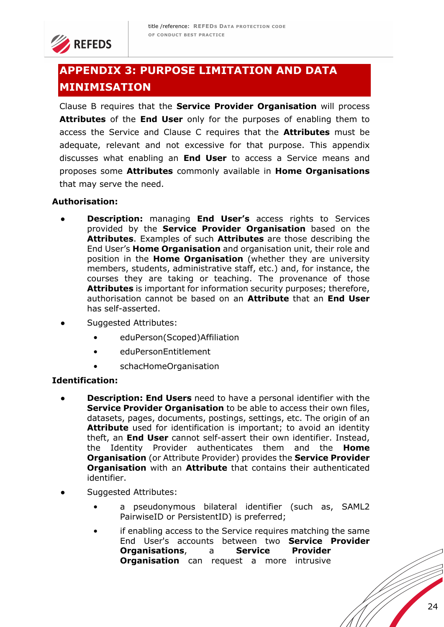

# **APPENDIX 3: PURPOSE LIMITATION AND DATA MINIMISATION**

Clause B requires that the **Service Provider Organisation** will process **Attributes** of the **End User** only for the purposes of enabling them to access the Service and Clause C requires that the **Attributes** must be adequate, relevant and not excessive for that purpose. This appendix discusses what enabling an **End User** to access a Service means and proposes some **Attributes** commonly available in **Home Organisations** that may serve the need.

## **Authorisation:**

- **Description:** managing **End User's** access rights to Services provided by the **Service Provider Organisation** based on the **Attributes**. Examples of such **Attributes** are those describing the End User's **Home Organisation** and organisation unit, their role and position in the **Home Organisation** (whether they are university members, students, administrative staff, etc.) and, for instance, the courses they are taking or teaching. The provenance of those **Attributes** is important for information security purposes; therefore, authorisation cannot be based on an **Attribute** that an **End User**  has self-asserted.
- Suggested Attributes:
	- eduPerson(Scoped)Affiliation
	- eduPersonEntitlement
	- schacHomeOrganisation

#### **Identification:**

- **Description: End Users** need to have a personal identifier with the **Service Provider Organisation** to be able to access their own files, datasets, pages, documents, postings, settings, etc. The origin of an **Attribute** used for identification is important; to avoid an identity theft, an **End User** cannot self-assert their own identifier. Instead, the Identity Provider authenticates them and the **Home Organisation** (or Attribute Provider) provides the **Service Provider Organisation** with an **Attribute** that contains their authenticated identifier.
- Suggested Attributes:
	- a pseudonymous bilateral identifier (such as, SAML2 PairwiseID or PersistentID) is preferred;
	- if enabling access to the Service requires matching the same End User's accounts between two **Service Provider Organisations**, a **Service Provider Organisation** can request a more intrusive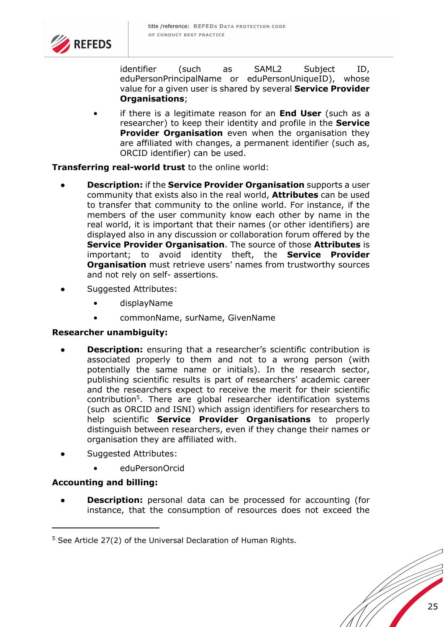

identifier (such as SAML2 Subject ID, eduPersonPrincipalName or eduPersonUniqueID), whose value for a given user is shared by several **Service Provider Organisations**;

• if there is a legitimate reason for an **End User** (such as a researcher) to keep their identity and profile in the **Service Provider Organisation** even when the organisation they are affiliated with changes, a permanent identifier (such as, ORCID identifier) can be used.

#### **Transferring real-world trust** to the online world:

- **Description:** if the **Service Provider Organisation** supports a user community that exists also in the real world, **Attributes** can be used to transfer that community to the online world. For instance, if the members of the user community know each other by name in the real world, it is important that their names (or other identifiers) are displayed also in any discussion or collaboration forum offered by the **Service Provider Organisation**. The source of those **Attributes** is important; to avoid identity theft, the **Service Provider Organisation** must retrieve users' names from trustworthy sources and not rely on self- assertions.
- Suggested Attributes:
	- displayName
	- commonName, surName, GivenName

#### **Researcher unambiguity:**

- **Description:** ensuring that a researcher's scientific contribution is associated properly to them and not to a wrong person (with potentially the same name or initials). In the research sector, publishing scientific results is part of researchers' academic career and the researchers expect to receive the merit for their scientific contribution5. There are global researcher identification systems (such as ORCID and ISNI) which assign identifiers for researchers to help scientific **Service Provider Organisations** to properly distinguish between researchers, even if they change their names or organisation they are affiliated with.
- Suggested Attributes:
	- eduPersonOrcid

## **Accounting and billing:**

**Description:** personal data can be processed for accounting (for instance, that the consumption of resources does not exceed the

 $5$  See Article 27(2) of the Universal Declaration of Human Rights.